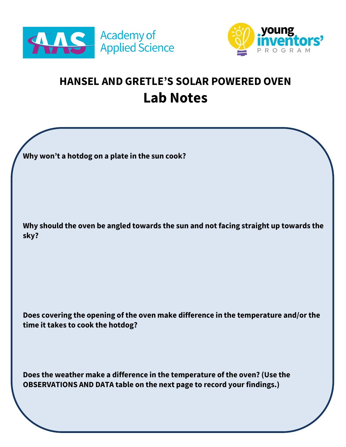



## **HANSEL AND GRETLE'S SOLAR POWERED OVEN Lab Notes**

**Why won't a hotdog on a plate in the sun cook?**

**Why should the oven be angled towards the sun and not facing straight up towards the sky?** 

**Does covering the opening of the oven make difference in the temperature and/or the time it takes to cook the hotdog?** 

**Does the weather make a difference in the temperature of the oven? (Use the OBSERVATIONS AND DATA table on the next page to record your findings.)**